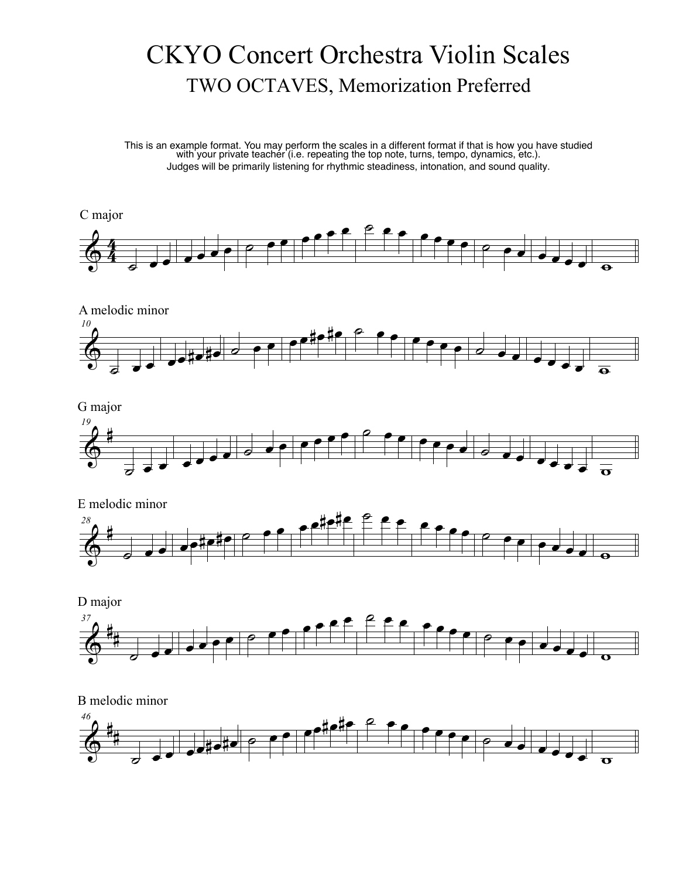## CKYO Concert Orchestra Violin Scales TWO OCTAVES, Memorization Preferred

This is an example format. You may perform the scales in a different format if that is how you have studied with your private teacher (i.e. repeating the top note, turns, tempo, dynamics, etc.). Judges will be primarily listening for rhythmic steadiness, intonation, and sound quality.





D major





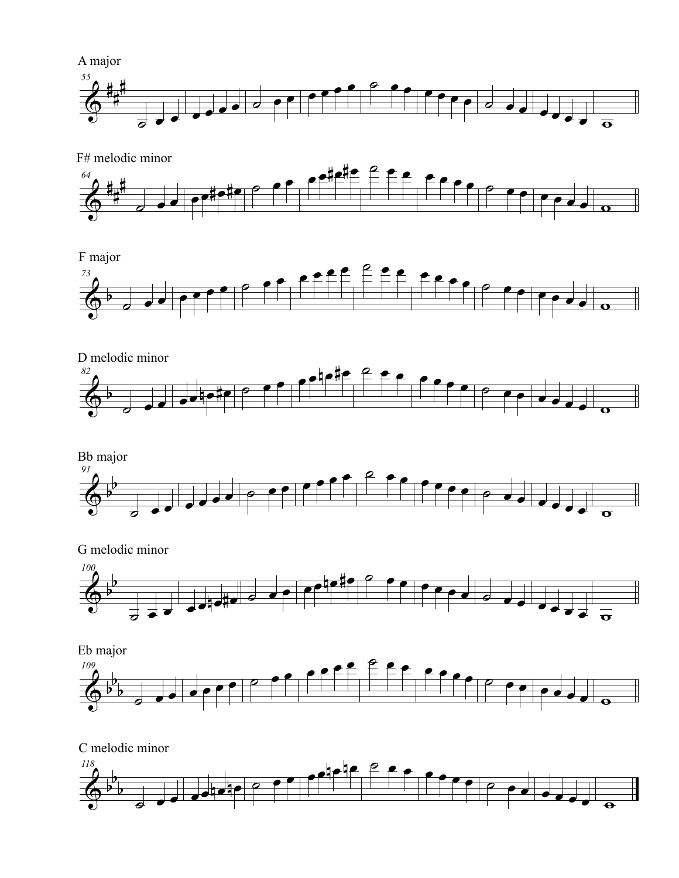



F# melodic minor



F major











 $\overline{\Phi^{\flat}}$ b b *118*  $\frac{1}{\sqrt{1-\frac{1}{2}}\cdot \frac{1}{2}}$  e e  $\frac{e^{\frac{1}{2}}e^{\frac{1}{2}}e^{\frac{1}{2}}e^{\frac{1}{2}}e^{\frac{1}{2}}e^{\frac{1}{2}}e^{\frac{1}{2}}e^{\frac{1}{2}}e^{\frac{1}{2}}e^{\frac{1}{2}}e^{\frac{1}{2}}e^{\frac{1}{2}}e^{\frac{1}{2}}e^{\frac{1}{2}}e^{\frac{1}{2}}e^{\frac{1}{2}}e^{\frac{1}{2}}e^{\frac{1}{2}}e^{\frac{1}{2}}e^{\frac{1}{2}}e^{\frac{$ C melodic minor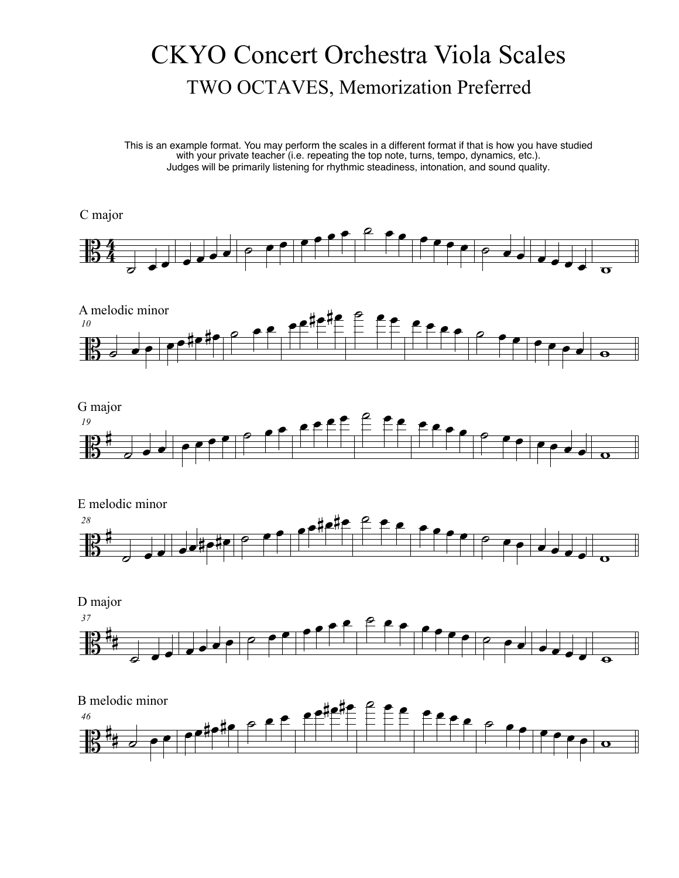# CKYO Concert Orchestra Viola Scales TWO OCTAVES, Memorization Preferred

This is an example format. You may perform the scales in a different format if that is how you have studied with your private teacher (i.e. repeating the top note, turns, tempo, dynamics, etc.). Judges will be primarily listening for rhythmic steadiness, intonation, and sound quality.

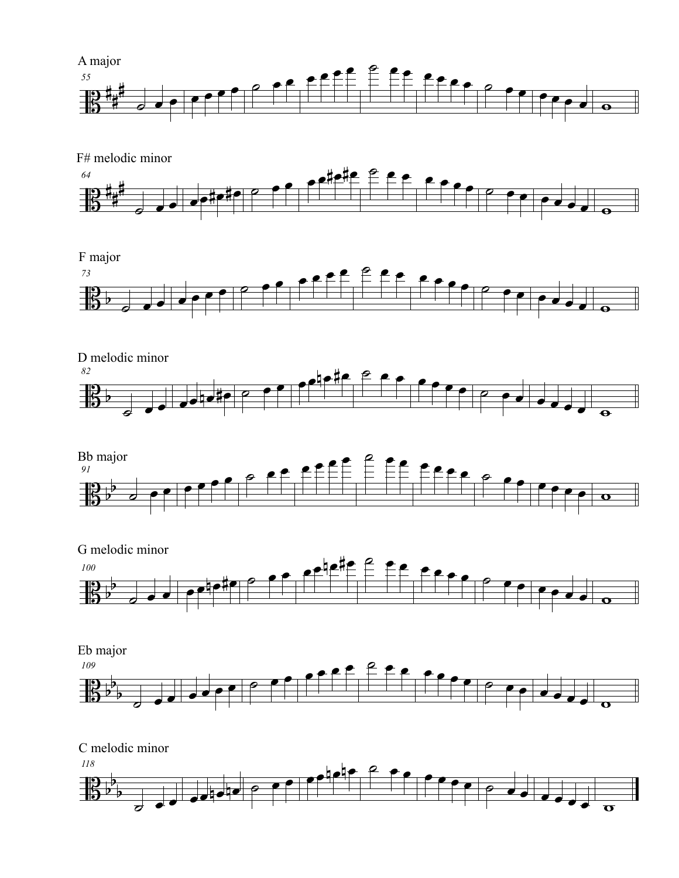















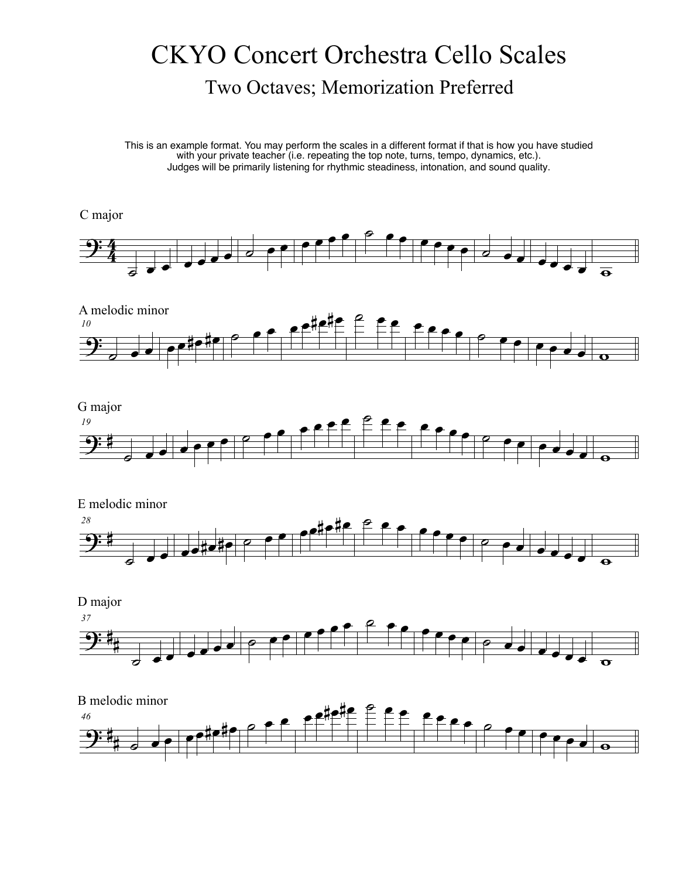## CKYO Concert Orchestra Cello Scales Two Octaves; Memorization Preferred

This is an example format. You may perform the scales in a different format if that is how you have studied with your private teacher (i.e. repeating the top note, turns, tempo, dynamics, etc.). Judges will be primarily listening for rhythmic steadiness, intonation, and sound quality.

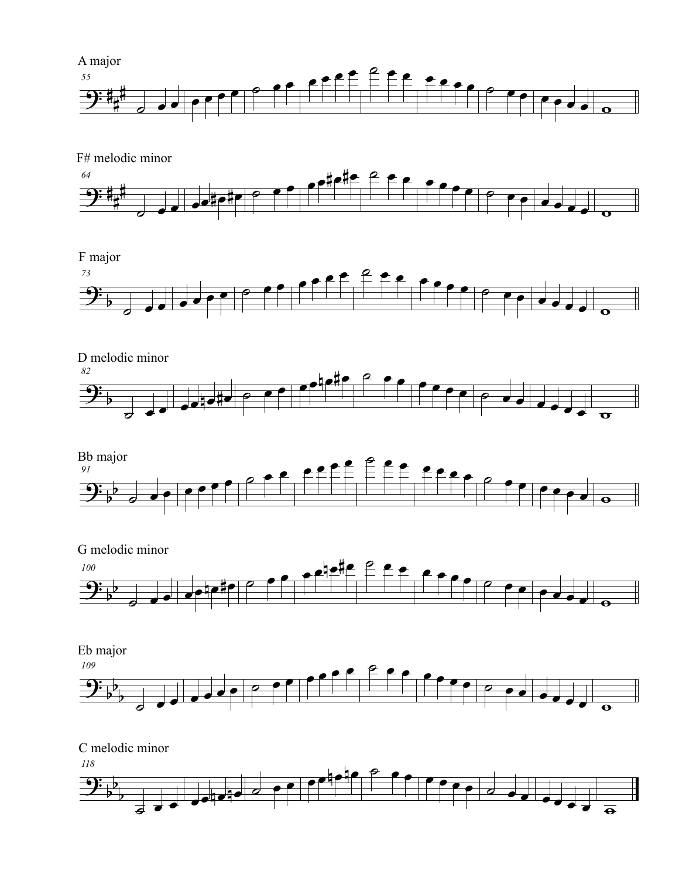



#### F major













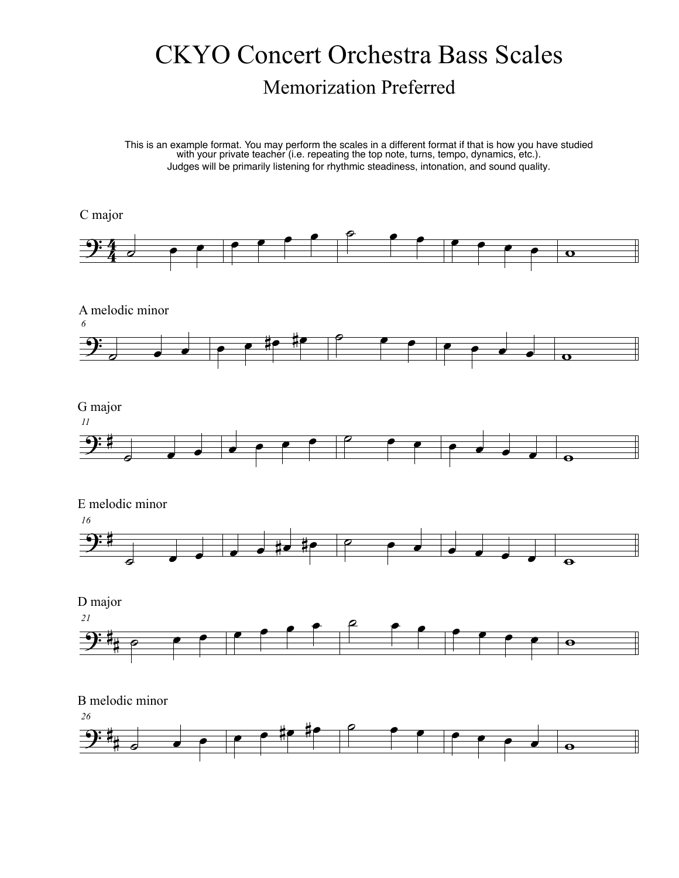## CKYO Concert Orchestra Bass Scales Memorization Preferred

This is an example format. You may perform the scales in a different format if that is how you have studied with your private teacher (i.e. repeating the top note, turns, tempo, dynamics, etc.). Judges will be primarily listening for rhythmic steadiness, intonation, and sound quality.